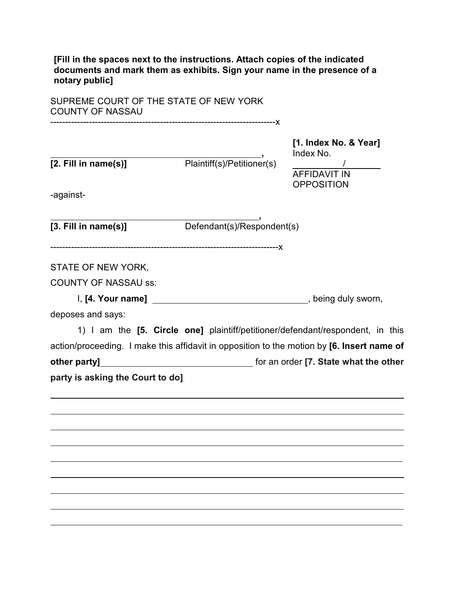**[Fill in the spaces next to the instructions. Attach copies of the indicated documents and mark them as exhibits. Sign your name in the presence of a notary public]**

SUPREME COURT OF THE STATE OF NEW YORK COUNTY OF NASSAU

----------------------------------------------------------------------------x **[1. Index No. & Year] ,** Index No. **[2. Fill in name(s)]** Plaintiff(s)/Petitioner(s) AFFIDAVIT IN **OPPOSITION** -against- **, [3. Fill in name(s)]** Defendant(s)/Respondent(s) -----------------------------------------------------------------------------x STATE OF NEW YORK, COUNTY OF NASSAU ss: I, **[4. Your name]** , being duly sworn, deposes and says: 1) I am the **[5. Circle one]** plaintiff/petitioner/defendant/respondent, in this action/proceeding. I make this affidavit in opposition to the motion by **[6. Insert name of other party]** for an order **[7. State what the other party is asking the Court to do]**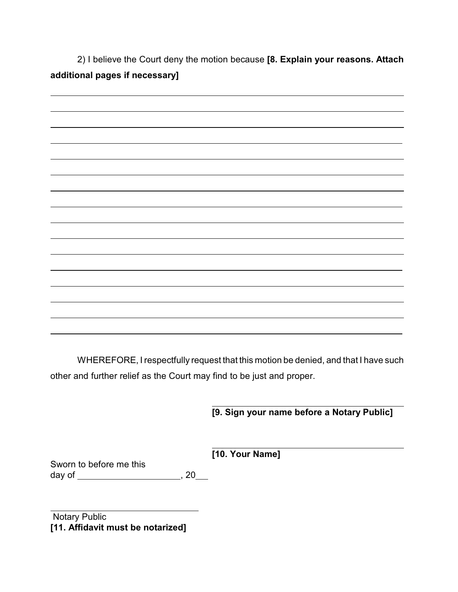2) I believe the Court deny the motion because **[8. Explain your reasons. Attach additional pages if necessary]**

WHEREFORE, I respectfully request that this motion be denied, and that I have such other and further relief as the Court may find to be just and proper.

 **[9. Sign your name before a Notary Public]**

**[10. Your Name]**

Sworn to before me this day of , 20

 Notary Public **[11. Affidavit must be notarized]**